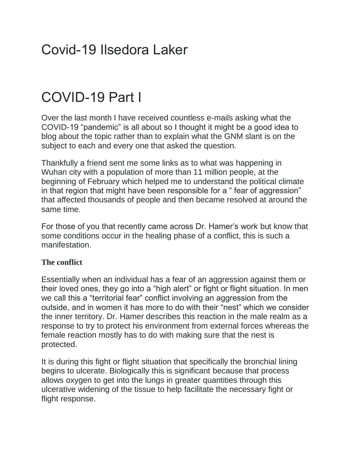# Covid-19 Ilsedora Laker

# COVID-19 Part I

Over the last month I have received countless e-mails asking what the COVID-19 "pandemic" is all about so I thought it might be a good idea to blog about the topic rather than to explain what the GNM slant is on the subject to each and every one that asked the question.

Thankfully a friend sent me some links as to what was happening in Wuhan city with a population of more than 11 million people, at the beginning of February which helped me to understand the political climate in that region that might have been responsible for a " fear of aggression" that affected thousands of people and then became resolved at around the same time.

For those of you that recently came across Dr. Hamer's work but know that some conditions occur in the healing phase of a conflict, this is such a manifestation.

## **The conflict**

Essentially when an individual has a fear of an aggression against them or their loved ones, they go into a "high alert" or fight or flight situation. In men we call this a "territorial fear" conflict involving an aggression from the outside, and in women it has more to do with their "nest" which we consider the inner territory. Dr. Hamer describes this reaction in the male realm as a response to try to protect his environment from external forces whereas the female reaction mostly has to do with making sure that the nest is protected.

It is during this fight or flight situation that specifically the bronchial lining begins to ulcerate. Biologically this is significant because that process allows oxygen to get into the lungs in greater quantities through this ulcerative widening of the tissue to help facilitate the necessary fight or flight response.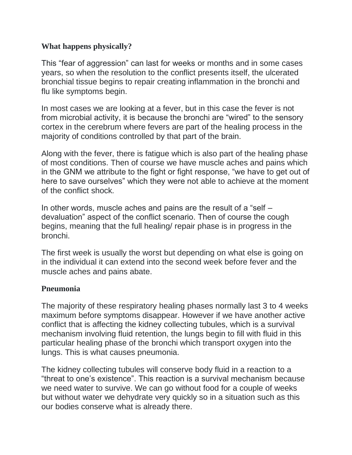#### **What happens physically?**

This "fear of aggression" can last for weeks or months and in some cases years, so when the resolution to the conflict presents itself, the ulcerated bronchial tissue begins to repair creating inflammation in the bronchi and flu like symptoms begin.

In most cases we are looking at a fever, but in this case the fever is not from microbial activity, it is because the bronchi are "wired" to the sensory cortex in the cerebrum where fevers are part of the healing process in the majority of conditions controlled by that part of the brain.

Along with the fever, there is fatigue which is also part of the healing phase of most conditions. Then of course we have muscle aches and pains which in the GNM we attribute to the fight or fight response, "we have to get out of here to save ourselves" which they were not able to achieve at the moment of the conflict shock.

In other words, muscle aches and pains are the result of a "self – devaluation" aspect of the conflict scenario. Then of course the cough begins, meaning that the full healing/ repair phase is in progress in the bronchi.

The first week is usually the worst but depending on what else is going on in the individual it can extend into the second week before fever and the muscle aches and pains abate.

#### **Pneumonia**

The majority of these respiratory healing phases normally last 3 to 4 weeks maximum before symptoms disappear. However if we have another active conflict that is affecting the kidney collecting tubules, which is a survival mechanism involving fluid retention, the lungs begin to fill with fluid in this particular healing phase of the bronchi which transport oxygen into the lungs. This is what causes pneumonia.

The kidney collecting tubules will conserve body fluid in a reaction to a "threat to one's existence". This reaction is a survival mechanism because we need water to survive. We can go without food for a couple of weeks but without water we dehydrate very quickly so in a situation such as this our bodies conserve what is already there.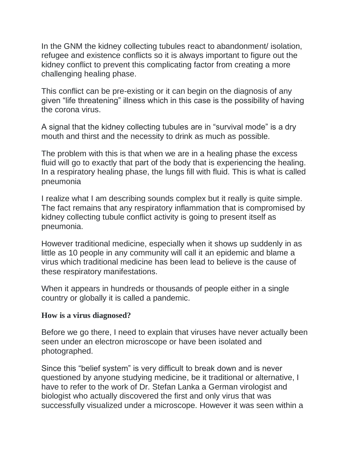In the GNM the kidney collecting tubules react to abandonment/ isolation, refugee and existence conflicts so it is always important to figure out the kidney conflict to prevent this complicating factor from creating a more challenging healing phase.

This conflict can be pre-existing or it can begin on the diagnosis of any given "life threatening" illness which in this case is the possibility of having the corona virus.

A signal that the kidney collecting tubules are in "survival mode" is a dry mouth and thirst and the necessity to drink as much as possible.

The problem with this is that when we are in a healing phase the excess fluid will go to exactly that part of the body that is experiencing the healing. In a respiratory healing phase, the lungs fill with fluid. This is what is called pneumonia

I realize what I am describing sounds complex but it really is quite simple. The fact remains that any respiratory inflammation that is compromised by kidney collecting tubule conflict activity is going to present itself as pneumonia.

However traditional medicine, especially when it shows up suddenly in as little as 10 people in any community will call it an epidemic and blame a virus which traditional medicine has been lead to believe is the cause of these respiratory manifestations.

When it appears in hundreds or thousands of people either in a single country or globally it is called a pandemic.

#### **How is a virus diagnosed?**

Before we go there, I need to explain that viruses have never actually been seen under an electron microscope or have been isolated and photographed.

Since this "belief system" is very difficult to break down and is never questioned by anyone studying medicine, be it traditional or alternative, I have to refer to the work of Dr. Stefan Lanka a German virologist and biologist who actually discovered the first and only virus that was successfully visualized under a microscope. However it was seen within a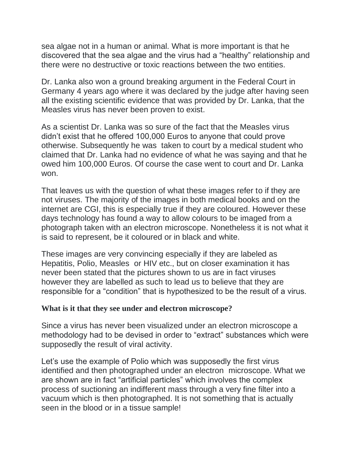sea algae not in a human or animal. What is more important is that he discovered that the sea algae and the virus had a "healthy" relationship and there were no destructive or toxic reactions between the two entities.

Dr. Lanka also won a ground breaking argument in the Federal Court in Germany 4 years ago where it was declared by the judge after having seen all the existing scientific evidence that was provided by Dr. Lanka, that the Measles virus has never been proven to exist.

As a scientist Dr. Lanka was so sure of the fact that the Measles virus didn't exist that he offered 100,000 Euros to anyone that could prove otherwise. Subsequently he was taken to court by a medical student who claimed that Dr. Lanka had no evidence of what he was saying and that he owed him 100,000 Euros. Of course the case went to court and Dr. Lanka won.

That leaves us with the question of what these images refer to if they are not viruses. The majority of the images in both medical books and on the internet are CGI, this is especially true if they are coloured. However these days technology has found a way to allow colours to be imaged from a photograph taken with an electron microscope. Nonetheless it is not what it is said to represent, be it coloured or in black and white.

These images are very convincing especially if they are labeled as Hepatitis, Polio, Measles or HIV etc., but on closer examination it has never been stated that the pictures shown to us are in fact viruses however they are labelled as such to lead us to believe that they are responsible for a "condition" that is hypothesized to be the result of a virus.

#### **What is it that they see under and electron microscope?**

Since a virus has never been visualized under an electron microscope a methodology had to be devised in order to "extract" substances which were supposedly the result of viral activity.

Let's use the example of Polio which was supposedly the first virus identified and then photographed under an electron microscope. What we are shown are in fact "artificial particles" which involves the complex process of suctioning an indifferent mass through a very fine filter into a vacuum which is then photographed. It is not something that is actually seen in the blood or in a tissue sample!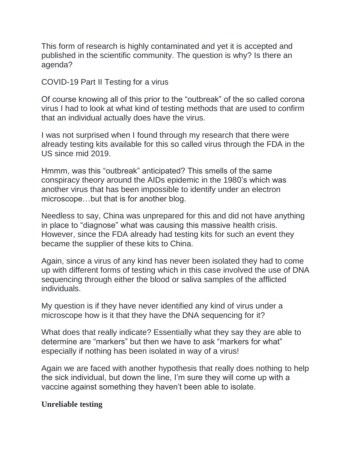This form of research is highly contaminated and yet it is accepted and published in the scientific community. The question is why? Is there an agenda?

COVID-19 Part II Testing for a virus

Of course knowing all of this prior to the "outbreak" of the so called corona virus I had to look at what kind of testing methods that are used to confirm that an individual actually does have the virus.

I was not surprised when I found through my research that there were already testing kits available for this so called virus through the FDA in the US since mid 2019.

Hmmm, was this "outbreak" anticipated? This smells of the same conspiracy theory around the AIDs epidemic in the 1980's which was another virus that has been impossible to identify under an electron microscope…but that is for another blog.

Needless to say, China was unprepared for this and did not have anything in place to "diagnose" what was causing this massive health crisis. However, since the FDA already had testing kits for such an event they became the supplier of these kits to China.

Again, since a virus of any kind has never been isolated they had to come up with different forms of testing which in this case involved the use of DNA sequencing through either the blood or saliva samples of the afflicted individuals.

My question is if they have never identified any kind of virus under a microscope how is it that they have the DNA sequencing for it?

What does that really indicate? Essentially what they say they are able to determine are "markers" but then we have to ask "markers for what" especially if nothing has been isolated in way of a virus!

Again we are faced with another hypothesis that really does nothing to help the sick individual, but down the line, I'm sure they will come up with a vaccine against something they haven't been able to isolate.

#### **Unreliable testing**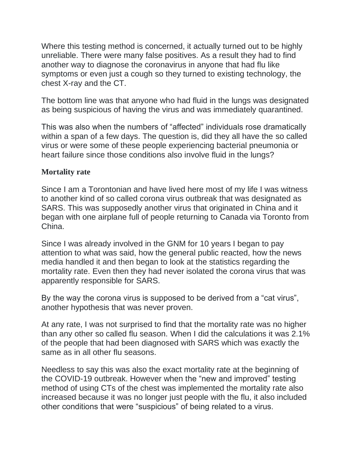Where this testing method is concerned, it actually turned out to be highly unreliable. There were many false positives. As a result they had to find another way to diagnose the coronavirus in anyone that had flu like symptoms or even just a cough so they turned to existing technology, the chest X-ray and the CT.

The bottom line was that anyone who had fluid in the lungs was designated as being suspicious of having the virus and was immediately quarantined.

This was also when the numbers of "affected" individuals rose dramatically within a span of a few days. The question is, did they all have the so called virus or were some of these people experiencing bacterial pneumonia or heart failure since those conditions also involve fluid in the lungs?

#### **Mortality rate**

Since I am a Torontonian and have lived here most of my life I was witness to another kind of so called corona virus outbreak that was designated as SARS. This was supposedly another virus that originated in China and it began with one airplane full of people returning to Canada via Toronto from China.

Since I was already involved in the GNM for 10 years I began to pay attention to what was said, how the general public reacted, how the news media handled it and then began to look at the statistics regarding the mortality rate. Even then they had never isolated the corona virus that was apparently responsible for SARS.

By the way the corona virus is supposed to be derived from a "cat virus", another hypothesis that was never proven.

At any rate, I was not surprised to find that the mortality rate was no higher than any other so called flu season. When I did the calculations it was 2.1% of the people that had been diagnosed with SARS which was exactly the same as in all other flu seasons.

Needless to say this was also the exact mortality rate at the beginning of the COVID-19 outbreak. However when the "new and improved" testing method of using CTs of the chest was implemented the mortality rate also increased because it was no longer just people with the flu, it also included other conditions that were "suspicious" of being related to a virus.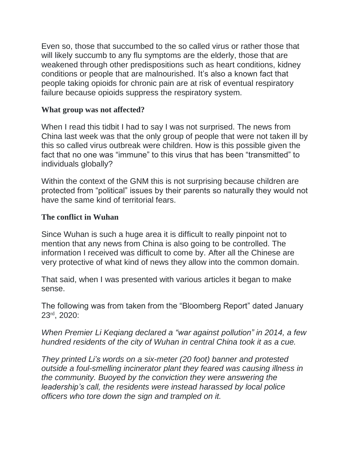Even so, those that succumbed to the so called virus or rather those that will likely succumb to any flu symptoms are the elderly, those that are weakened through other predispositions such as heart conditions, kidney conditions or people that are malnourished. It's also a known fact that people taking opioids for chronic pain are at risk of eventual respiratory failure because opioids suppress the respiratory system.

## **What group was not affected?**

When I read this tidbit I had to say I was not surprised. The news from China last week was that the only group of people that were not taken ill by this so called virus outbreak were children. How is this possible given the fact that no one was "immune" to this virus that has been "transmitted" to individuals globally?

Within the context of the GNM this is not surprising because children are protected from "political" issues by their parents so naturally they would not have the same kind of territorial fears.

#### **The conflict in Wuhan**

Since Wuhan is such a huge area it is difficult to really pinpoint not to mention that any news from China is also going to be controlled. The information I received was difficult to come by. After all the Chinese are very protective of what kind of news they allow into the common domain.

That said, when I was presented with various articles it began to make sense.

The following was from taken from the "Bloomberg Report" dated January 23rd, 2020:

## *When Premier Li Keqiang declared a "war against pollution" in 2014, a few hundred residents of the city of Wuhan in central China took it as a cue.*

*They printed Li's words on a six-meter (20 foot) banner and protested outside a foul-smelling incinerator plant they feared was causing illness in the community. Buoyed by the conviction they were answering the leadership's call, the residents were instead harassed by local police officers who tore down the sign and trampled on it.*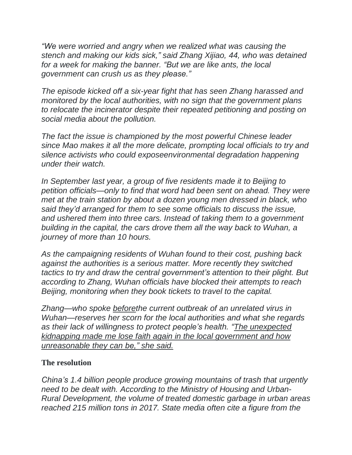*"We were worried and angry when we realized what was causing the stench and making our kids sick," said Zhang Xijiao, 44, who was detained for a week for making the banner. "But we are like ants, the local government can crush us as they please."*

*The episode kicked off a six-year fight that has seen Zhang harassed and monitored by the local authorities, with no sign that the government plans to relocate the incinerator despite their repeated petitioning and posting on social media about the pollution.*

*The fact the issue is championed by the most powerful Chinese leader since Mao makes it all the more delicate, prompting local officials to try and silence activists who could exposeenvironmental degradation happening under their watch.*

*In September last year, a group of five residents made it to Beijing to petition officials—only to find that word had been sent on ahead. They were met at the train station by about a dozen young men dressed in black, who said they'd arranged for them to see some officials to discuss the issue, and ushered them into three cars. Instead of taking them to a government building in the capital, the cars drove them all the way back to Wuhan, a journey of more than 10 hours.*

*As the campaigning residents of Wuhan found to their cost, pushing back against the authorities is a serious matter. More recently they switched tactics to try and draw the central government's attention to their plight. But according to Zhang, Wuhan officials have blocked their attempts to reach Beijing, monitoring when they book tickets to travel to the capital.*

*Zhang—who spoke beforethe current outbreak of an unrelated virus in Wuhan—reserves her scorn for the local authorities and what she regards as their lack of willingness to protect people's health. "The unexpected kidnapping made me lose faith again in the local government and how unreasonable they can be," she said.*

## **The resolution**

*China's 1.4 billion people produce growing mountains of trash that urgently need to be dealt with. According to the Ministry of Housing and Urban-Rural Development, the volume of treated domestic garbage in urban areas reached 215 million tons in 2017. State media often cite a figure from the*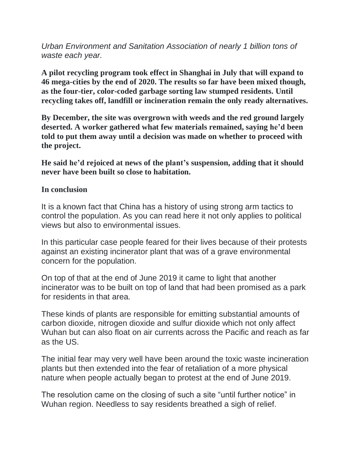*Urban Environment and Sanitation Association of nearly 1 billion tons of waste each year.*

**A pilot recycling program took effect in Shanghai in July that will expand to 46 mega-cities by the end of 2020. The results so far have been mixed though, as the four-tier, color-coded garbage sorting law stumped residents. Until recycling takes off, landfill or incineration remain the only ready alternatives.**

**By December, the site was overgrown with weeds and the red ground largely deserted. A worker gathered what few materials remained, saying he'd been told to put them away until a decision was made on whether to proceed with the project.**

**He said he'd rejoiced at news of the plant's suspension, adding that it should never have been built so close to habitation.**

#### **In conclusion**

It is a known fact that China has a history of using strong arm tactics to control the population. As you can read here it not only applies to political views but also to environmental issues.

In this particular case people feared for their lives because of their protests against an existing incinerator plant that was of a grave environmental concern for the population.

On top of that at the end of June 2019 it came to light that another incinerator was to be built on top of land that had been promised as a park for residents in that area.

These kinds of plants are responsible for emitting substantial amounts of carbon dioxide, nitrogen dioxide and sulfur dioxide which not only affect Wuhan but can also float on air currents across the Pacific and reach as far as the US.

The initial fear may very well have been around the toxic waste incineration plants but then extended into the fear of retaliation of a more physical nature when people actually began to protest at the end of June 2019.

The resolution came on the closing of such a site "until further notice" in Wuhan region. Needless to say residents breathed a sigh of relief.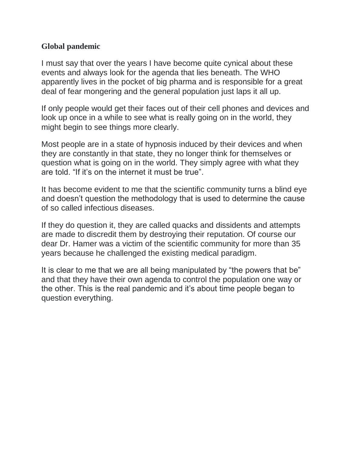#### **Global pandemic**

I must say that over the years I have become quite cynical about these events and always look for the agenda that lies beneath. The WHO apparently lives in the pocket of big pharma and is responsible for a great deal of fear mongering and the general population just laps it all up.

If only people would get their faces out of their cell phones and devices and look up once in a while to see what is really going on in the world, they might begin to see things more clearly.

Most people are in a state of hypnosis induced by their devices and when they are constantly in that state, they no longer think for themselves or question what is going on in the world. They simply agree with what they are told. "If it's on the internet it must be true".

It has become evident to me that the scientific community turns a blind eye and doesn't question the methodology that is used to determine the cause of so called infectious diseases.

If they do question it, they are called quacks and dissidents and attempts are made to discredit them by destroying their reputation. Of course our dear Dr. Hamer was a victim of the scientific community for more than 35 years because he challenged the existing medical paradigm.

It is clear to me that we are all being manipulated by "the powers that be" and that they have their own agenda to control the population one way or the other. This is the real pandemic and it's about time people began to question everything.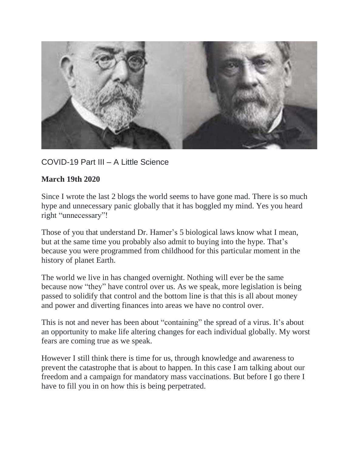

## COVID-19 Part III – A Little Science

#### **March 19th 2020**

Since I wrote the last 2 blogs the world seems to have gone mad. There is so much hype and unnecessary panic globally that it has boggled my mind. Yes you heard right "unnecessary"!

Those of you that understand Dr. Hamer's 5 biological laws know what I mean, but at the same time you probably also admit to buying into the hype. That's because you were programmed from childhood for this particular moment in the history of planet Earth.

The world we live in has changed overnight. Nothing will ever be the same because now "they" have control over us. As we speak, more legislation is being passed to solidify that control and the bottom line is that this is all about money and power and diverting finances into areas we have no control over.

This is not and never has been about "containing" the spread of a virus. It's about an opportunity to make life altering changes for each individual globally. My worst fears are coming true as we speak.

However I still think there is time for us, through knowledge and awareness to prevent the catastrophe that is about to happen. In this case I am talking about our freedom and a campaign for mandatory mass vaccinations. But before I go there I have to fill you in on how this is being perpetrated.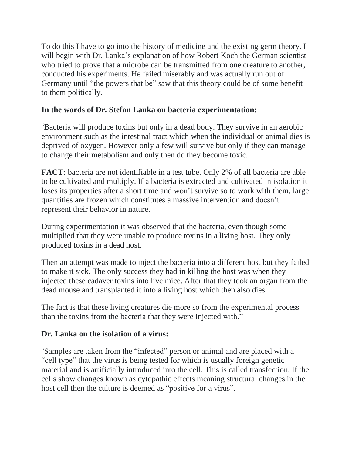To do this I have to go into the history of medicine and the existing germ theory. I will begin with Dr. Lanka's explanation of how Robert Koch the German scientist who tried to prove that a microbe can be transmitted from one creature to another, conducted his experiments. He failed miserably and was actually run out of Germany until "the powers that be" saw that this theory could be of some benefit to them politically.

## **In the words of Dr. Stefan Lanka on bacteria experimentation:**

"Bacteria will produce toxins but only in a dead body. They survive in an aerobic environment such as the intestinal tract which when the individual or animal dies is deprived of oxygen. However only a few will survive but only if they can manage to change their metabolism and only then do they become toxic.

**FACT:** bacteria are not identifiable in a test tube. Only 2% of all bacteria are able to be cultivated and multiply. If a bacteria is extracted and cultivated in isolation it loses its properties after a short time and won't survive so to work with them, large quantities are frozen which constitutes a massive intervention and doesn't represent their behavior in nature.

During experimentation it was observed that the bacteria, even though some multiplied that they were unable to produce toxins in a living host. They only produced toxins in a dead host.

Then an attempt was made to inject the bacteria into a different host but they failed to make it sick. The only success they had in killing the host was when they injected these cadaver toxins into live mice. After that they took an organ from the dead mouse and transplanted it into a living host which then also dies.

The fact is that these living creatures die more so from the experimental process than the toxins from the bacteria that they were injected with."

## **Dr. Lanka on the isolation of a virus:**

"Samples are taken from the "infected" person or animal and are placed with a "cell type" that the virus is being tested for which is usually foreign genetic material and is artificially introduced into the cell. This is called transfection. If the cells show changes known as cytopathic effects meaning structural changes in the host cell then the culture is deemed as "positive for a virus".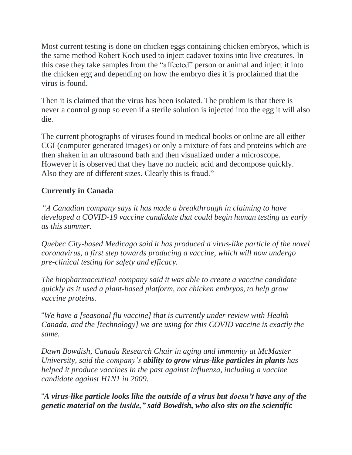Most current testing is done on chicken eggs containing chicken embryos, which is the same method Robert Koch used to inject cadaver toxins into live creatures. In this case they take samples from the "affected" person or animal and inject it into the chicken egg and depending on how the embryo dies it is proclaimed that the virus is found.

Then it is claimed that the virus has been isolated. The problem is that there is never a control group so even if a sterile solution is injected into the egg it will also die.

The current photographs of viruses found in medical books or online are all either CGI (computer generated images) or only a mixture of fats and proteins which are then shaken in an ultrasound bath and then visualized under a microscope. However it is observed that they have no nucleic acid and decompose quickly. Also they are of different sizes. Clearly this is fraud."

## **Currently in Canada**

*"A Canadian company says it has made a breakthrough in claiming to have developed a COVID-19 vaccine candidate that could begin human testing as early as this summer.*

*Quebec City-based Medicago said it has produced a virus-like particle of the novel coronavirus, a first step towards producing a vaccine, which will now undergo pre-clinical testing for safety and efficacy.*

*The biopharmaceutical company said it was able to create a vaccine candidate quickly as it used a plant-based platform, not chicken embryos, to help grow vaccine proteins.*

"*We have a [seasonal flu vaccine] that is currently under review with Health Canada, and the [technology] we are using for this COVID vaccine is exactly the same.*

*Dawn Bowdish, Canada Research Chair in aging and immunity at McMaster University, said the company's ability to grow virus-like particles in plants has helped it produce vaccines in the past against influenza, including a vaccine candidate against H1N1 in 2009.*

"*A virus-like particle looks like the outside of a virus but doesn't have any of the genetic material on the inside," said Bowdish, who also sits on the scientific*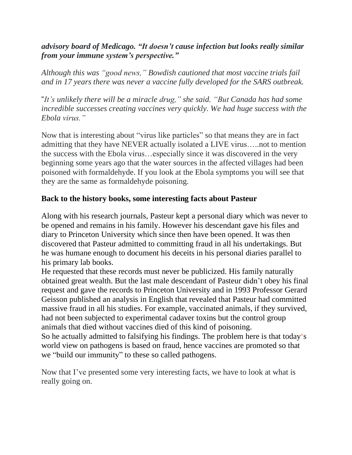## *advisory board of Medicago. "It doesn't cause infection but looks really similar from your immune system's perspective."*

*Although this was "good news," Bowdish cautioned that most vaccine trials fail and in 17 years there was never a vaccine fully developed for the SARS outbreak.*

"*It's unlikely there will be a miracle drug," she said. "But Canada has had some incredible successes creating vaccines very quickly. We had huge success with the Ebola virus."*

Now that is interesting about "virus like particles" so that means they are in fact admitting that they have NEVER actually isolated a LIVE virus…..not to mention the success with the Ebola virus…especially since it was discovered in the very beginning some years ago that the water sources in the affected villages had been poisoned with formaldehyde. If you look at the Ebola symptoms you will see that they are the same as formaldehyde poisoning.

## **Back to the history books, some interesting facts about Pasteur**

Along with his research journals, Pasteur kept a personal diary which was never to be opened and remains in his family. However his descendant gave his files and diary to Princeton University which since then have been opened. It was then discovered that Pasteur admitted to committing fraud in all his undertakings. But he was humane enough to document his deceits in his personal diaries parallel to his primary lab books.

He requested that these records must never be publicized. His family naturally obtained great wealth. But the last male descendant of Pasteur didn't obey his final request and gave the records to Princeton University and in 1993 Professor Gerard Geisson published an analysis in English that revealed that Pasteur had committed massive fraud in all his studies. For example, vaccinated animals, if they survived, had not been subjected to experimental cadaver toxins but the control group animals that died without vaccines died of this kind of poisoning.

So he actually admitted to falsifying his findings. The problem here is that today's world view on pathogens is based on fraud, hence vaccines are promoted so that we "build our immunity" to these so called pathogens.

Now that I've presented some very interesting facts, we have to look at what is really going on.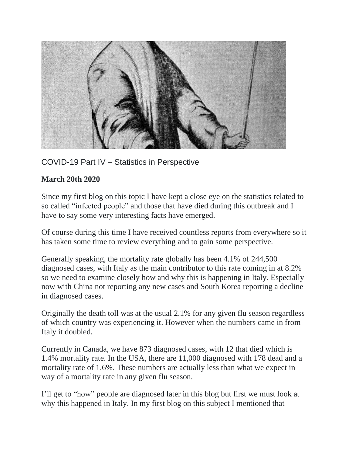

## COVID-19 Part IV – Statistics in Perspective

## **March 20th 2020**

Since my first blog on this topic I have kept a close eye on the statistics related to so called "infected people" and those that have died during this outbreak and I have to say some very interesting facts have emerged.

Of course during this time I have received countless reports from everywhere so it has taken some time to review everything and to gain some perspective.

Generally speaking, the mortality rate globally has been 4.1% of 244,500 diagnosed cases, with Italy as the main contributor to this rate coming in at 8.2% so we need to examine closely how and why this is happening in Italy. Especially now with China not reporting any new cases and South Korea reporting a decline in diagnosed cases.

Originally the death toll was at the usual 2.1% for any given flu season regardless of which country was experiencing it. However when the numbers came in from Italy it doubled.

Currently in Canada, we have 873 diagnosed cases, with 12 that died which is 1.4% mortality rate. In the USA, there are 11,000 diagnosed with 178 dead and a mortality rate of 1.6%. These numbers are actually less than what we expect in way of a mortality rate in any given flu season.

I'll get to "how" people are diagnosed later in this blog but first we must look at why this happened in Italy. In my first blog on this subject I mentioned that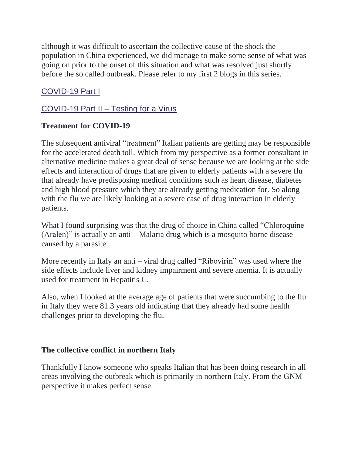although it was difficult to ascertain the collective cause of the shock the population in China experienced, we did manage to make some sense of what was going on prior to the onset of this situation and what was resolved just shortly before the so called outbreak. Please refer to my first 2 blogs in this series.

## [COVID-19](https://www.gnmonlineseminars.com/covid-19-part-i/) Part I

## [COVID-19](https://www.gnmonlineseminars.com/covid-19-part-ii-testing-for-a-virus/) Part II – Testing for a Virus

## **Treatment for COVID-19**

The subsequent antiviral "treatment" Italian patients are getting may be responsible for the accelerated death toll. Which from my perspective as a former consultant in alternative medicine makes a great deal of sense because we are looking at the side effects and interaction of drugs that are given to elderly patients with a severe flu that already have predisposing medical conditions such as heart disease, diabetes and high blood pressure which they are already getting medication for. So along with the flu we are likely looking at a severe case of drug interaction in elderly patients.

What I found surprising was that the drug of choice in China called "Chloroquine" (Aralen)" is actually an anti – Malaria drug which is a mosquito borne disease caused by a parasite.

More recently in Italy an anti – viral drug called "Ribovirin" was used where the side effects include liver and kidney impairment and severe anemia. It is actually used for treatment in Hepatitis C.

Also, when I looked at the average age of patients that were succumbing to the flu in Italy they were 81.3 years old indicating that they already had some health challenges prior to developing the flu.

#### **The collective conflict in northern Italy**

Thankfully I know someone who speaks Italian that has been doing research in all areas involving the outbreak which is primarily in northern Italy. From the GNM perspective it makes perfect sense.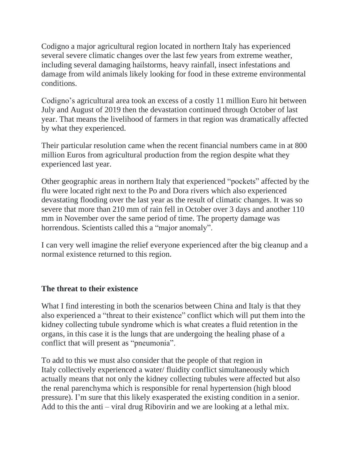Codigno a major agricultural region located in northern Italy has experienced several severe climatic changes over the last few years from extreme weather, including several damaging hailstorms, heavy rainfall, insect infestations and damage from wild animals likely looking for food in these extreme environmental conditions.

Codigno's agricultural area took an excess of a costly 11 million Euro hit between July and August of 2019 then the devastation continued through October of last year. That means the livelihood of farmers in that region was dramatically affected by what they experienced.

Their particular resolution came when the recent financial numbers came in at 800 million Euros from agricultural production from the region despite what they experienced last year.

Other geographic areas in northern Italy that experienced "pockets" affected by the flu were located right next to the Po and Dora rivers which also experienced devastating flooding over the last year as the result of climatic changes. It was so severe that more than 210 mm of rain fell in October over 3 days and another 110 mm in November over the same period of time. The property damage was horrendous. Scientists called this a "major anomaly".

I can very well imagine the relief everyone experienced after the big cleanup and a normal existence returned to this region.

## **The threat to their existence**

What I find interesting in both the scenarios between China and Italy is that they also experienced a "threat to their existence" conflict which will put them into the kidney collecting tubule syndrome which is what creates a fluid retention in the organs, in this case it is the lungs that are undergoing the healing phase of a conflict that will present as "pneumonia".

To add to this we must also consider that the people of that region in Italy collectively experienced a water/ fluidity conflict simultaneously which actually means that not only the kidney collecting tubules were affected but also the renal parenchyma which is responsible for renal hypertension (high blood pressure). I'm sure that this likely exasperated the existing condition in a senior. Add to this the anti – viral drug Ribovirin and we are looking at a lethal mix.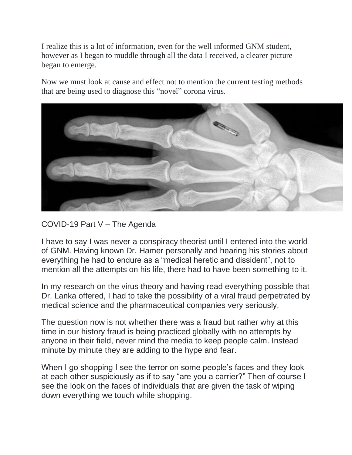I realize this is a lot of information, even for the well informed GNM student, however as I began to muddle through all the data I received, a clearer picture began to emerge.

Now we must look at cause and effect not to mention the current testing methods that are being used to diagnose this "novel" corona virus.



COVID-19 Part V – The Agenda

I have to say I was never a conspiracy theorist until I entered into the world of GNM. Having known Dr. Hamer personally and hearing his stories about everything he had to endure as a "medical heretic and dissident", not to mention all the attempts on his life, there had to have been something to it.

In my research on the virus theory and having read everything possible that Dr. Lanka offered, I had to take the possibility of a viral fraud perpetrated by medical science and the pharmaceutical companies very seriously.

The question now is not whether there was a fraud but rather why at this time in our history fraud is being practiced globally with no attempts by anyone in their field, never mind the media to keep people calm. Instead minute by minute they are adding to the hype and fear.

When I go shopping I see the terror on some people's faces and they look at each other suspiciously as if to say "are you a carrier?" Then of course I see the look on the faces of individuals that are given the task of wiping down everything we touch while shopping.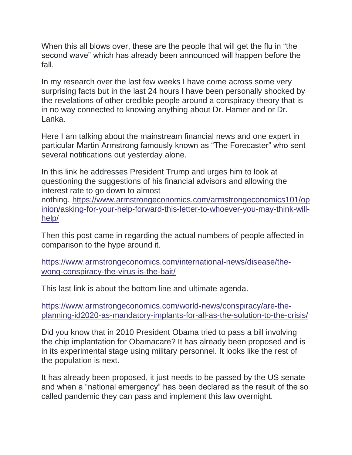When this all blows over, these are the people that will get the flu in "the second wave" which has already been announced will happen before the fall.

In my research over the last few weeks I have come across some very surprising facts but in the last 24 hours I have been personally shocked by the revelations of other credible people around a conspiracy theory that is in no way connected to knowing anything about Dr. Hamer and or Dr. Lanka.

Here I am talking about the mainstream financial news and one expert in particular Martin Armstrong famously known as "The Forecaster" who sent several notifications out yesterday alone.

In this link he addresses President Trump and urges him to look at questioning the suggestions of his financial advisors and allowing the interest rate to go down to almost

nothing. [https://www.armstrongeconomics.com/armstrongeconomics101/op](https://www.armstrongeconomics.com/armstrongeconomics101/opinion/asking-for-your-help-forward-this-letter-to-whoever-you-may-think-will-help/) [inion/asking-for-your-help-forward-this-letter-to-whoever-you-may-think-will](https://www.armstrongeconomics.com/armstrongeconomics101/opinion/asking-for-your-help-forward-this-letter-to-whoever-you-may-think-will-help/)[help/](https://www.armstrongeconomics.com/armstrongeconomics101/opinion/asking-for-your-help-forward-this-letter-to-whoever-you-may-think-will-help/)

Then this post came in regarding the actual numbers of people affected in comparison to the hype around it.

[https://www.armstrongeconomics.com/international-news/disease/the](https://www.armstrongeconomics.com/international-news/disease/the-wong-conspiracy-the-virus-is-the-bait/)[wong-conspiracy-the-virus-is-the-bait/](https://www.armstrongeconomics.com/international-news/disease/the-wong-conspiracy-the-virus-is-the-bait/)

This last link is about the bottom line and ultimate agenda.

[https://www.armstrongeconomics.com/world-news/conspiracy/are-the](https://www.armstrongeconomics.com/world-news/conspiracy/are-the-planning-id2020-as-mandatory-implants-for-all-as-the-solution-to-the-crisis/)[planning-id2020-as-mandatory-implants-for-all-as-the-solution-to-the-crisis/](https://www.armstrongeconomics.com/world-news/conspiracy/are-the-planning-id2020-as-mandatory-implants-for-all-as-the-solution-to-the-crisis/)

Did you know that in 2010 President Obama tried to pass a bill involving the chip implantation for Obamacare? It has already been proposed and is in its experimental stage using military personnel. It looks like the rest of the population is next.

It has already been proposed, it just needs to be passed by the US senate and when a "national emergency" has been declared as the result of the so called pandemic they can pass and implement this law overnight.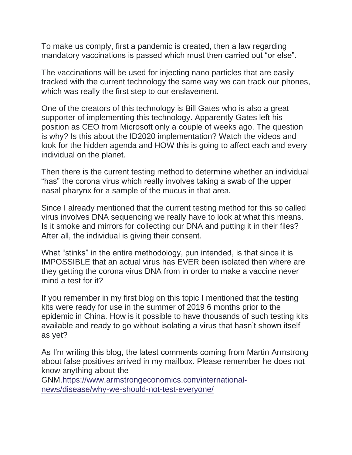To make us comply, first a pandemic is created, then a law regarding mandatory vaccinations is passed which must then carried out "or else".

The vaccinations will be used for injecting nano particles that are easily tracked with the current technology the same way we can track our phones, which was really the first step to our enslavement.

One of the creators of this technology is Bill Gates who is also a great supporter of implementing this technology. Apparently Gates left his position as CEO from Microsoft only a couple of weeks ago. The question is why? Is this about the ID2020 implementation? Watch the videos and look for the hidden agenda and HOW this is going to affect each and every individual on the planet.

Then there is the current testing method to determine whether an individual "has" the corona virus which really involves taking a swab of the upper nasal pharynx for a sample of the mucus in that area.

Since I already mentioned that the current testing method for this so called virus involves DNA sequencing we really have to look at what this means. Is it smoke and mirrors for collecting our DNA and putting it in their files? After all, the individual is giving their consent.

What "stinks" in the entire methodology, pun intended, is that since it is IMPOSSIBLE that an actual virus has EVER been isolated then where are they getting the corona virus DNA from in order to make a vaccine never mind a test for it?

If you remember in my first blog on this topic I mentioned that the testing kits were ready for use in the summer of 2019 6 months prior to the epidemic in China. How is it possible to have thousands of such testing kits available and ready to go without isolating a virus that hasn't shown itself as yet?

As I'm writing this blog, the latest comments coming from Martin Armstrong about false positives arrived in my mailbox. Please remember he does not know anything about the

GNM[.https://www.armstrongeconomics.com/international](https://www.armstrongeconomics.com/international-news/disease/why-we-should-not-test-everyone/)[news/disease/why-we-should-not-test-everyone/](https://www.armstrongeconomics.com/international-news/disease/why-we-should-not-test-everyone/)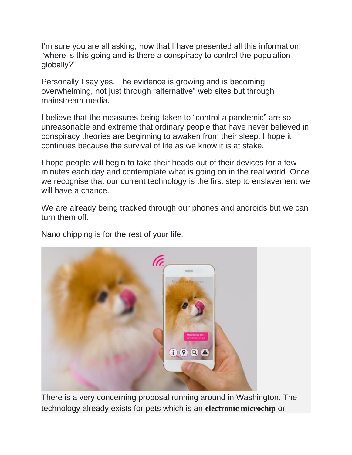I'm sure you are all asking, now that I have presented all this information, "where is this going and is there a conspiracy to control the population globally?"

Personally I say yes. The evidence is growing and is becoming overwhelming, not just through "alternative" web sites but through mainstream media.

I believe that the measures being taken to "control a pandemic" are so unreasonable and extreme that ordinary people that have never believed in conspiracy theories are beginning to awaken from their sleep. I hope it continues because the survival of life as we know it is at stake.

I hope people will begin to take their heads out of their devices for a few minutes each day and contemplate what is going on in the real world. Once we recognise that our current technology is the first step to enslavement we will have a chance.

We are already being tracked through our phones and androids but we can turn them off.

Nano chipping is for the rest of your life.



There is a very concerning proposal running around in Washington. The technology already exists for pets which is an **electronic microchip** or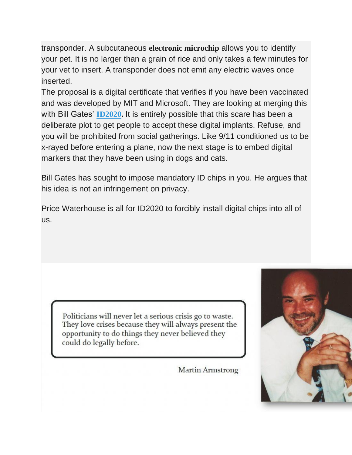transponder. A subcutaneous **electronic microchip** allows you to identify your pet. It is no larger than a grain of rice and only takes a few minutes for your vet to insert. A transponder does not emit any electric waves once inserted.

The proposal is a digital certificate that verifies if you have been vaccinated and was developed by MIT and Microsoft. They are looking at merging this with Bill Gates' **[ID2020.](https://medium.com/id2020/id2020-launches-technical-certification-mark-e6743d3f70fd)** It is entirely possible that this scare has been a deliberate plot to get people to accept these digital implants. Refuse, and you will be prohibited from social gatherings. Like 9/11 conditioned us to be x-rayed before entering a plane, now the next stage is to embed digital markers that they have been using in dogs and cats.

Bill Gates has sought to impose mandatory ID chips in you. He argues that his idea is not an infringement on privacy.

Price Waterhouse is all for ID2020 to forcibly install digital chips into all of us.



Politicians will never let a serious crisis go to waste. They love crises because they will always present the opportunity to do things they never believed they could do legally before.

**Martin Armstrong**